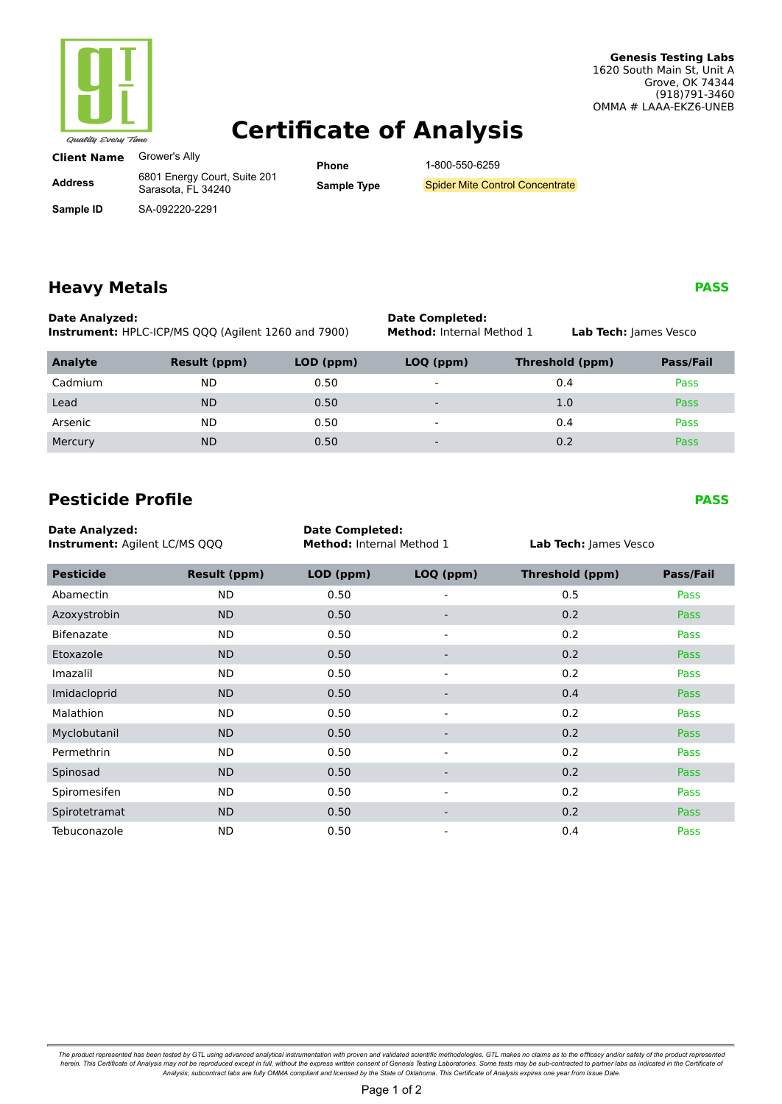

# **Certificate of Analysis**

| <b>Client Name</b> | Grower's Ally |
|--------------------|---------------|
|                    |               |

**Address**

**Sample ID**

6801 Energy Court, Suite 201 Sarasota, FL 34240

SA-092220-2291

**Phone Sample Type** 1-800-550-6259

Spider Mite Control Concentrate

## **Heavy Metals**

**Date Analyzed: Date Completed: Date Completed: Instrument:** HPLC-ICP/MS QQQ (Agilent 1260 and 7900) **Method:** Internal Method 1

# **Instrument:** HPLC-ICP/MS QQQ (Agilent 1260 and 7900) **Method:** Internal Method 1 **Lab Tech:** James Vesco **Analyte Result (ppm) LOD (ppm) LOQ (ppm) Threshold (ppm) Pass/Fail** Cadmium ND 0.50 - 0.4 Pass

| Lead    | <b>ND</b> | 0.50 | $\overline{\phantom{a}}$ | <b>Pass</b> |
|---------|-----------|------|--------------------------|-------------|
| Arsenic | <b>ND</b> | 0.50 | -                        | Pass        |
| Mercury | <b>ND</b> | 0.50 | $\overline{\phantom{0}}$ | <b>Pass</b> |

## **Pesticide Profile**

| <b>Date Analyzed:</b><br>Instrument: Agilent LC/MS QQQ |                     |           | <b>Date Completed:</b><br>Method: Internal Method 1 |                        | Lab Tech: James Vesco |  |
|--------------------------------------------------------|---------------------|-----------|-----------------------------------------------------|------------------------|-----------------------|--|
| <b>Pesticide</b>                                       | <b>Result (ppm)</b> | LOD (ppm) | LOQ (ppm)                                           | <b>Threshold (ppm)</b> | Pass/Fail             |  |
| Abamectin                                              | ND.                 | 0.50      |                                                     | 0.5                    | Pass                  |  |
| Azoxystrobin                                           | <b>ND</b>           | 0.50      | $\overline{\phantom{a}}$                            | 0.2                    | Pass                  |  |
| <b>Bifenazate</b>                                      | <b>ND</b>           | 0.50      | $\qquad \qquad \blacksquare$                        | 0.2                    | Pass                  |  |
| Etoxazole                                              | <b>ND</b>           | 0.50      |                                                     | 0.2                    | Pass                  |  |
| Imazalil                                               | ND.                 | 0.50      | $\sim$                                              | 0.2                    | Pass                  |  |
| Imidacloprid                                           | <b>ND</b>           | 0.50      | -                                                   | 0.4                    | <b>Pass</b>           |  |
| Malathion                                              | ND                  | 0.50      | $\blacksquare$                                      | 0.2                    | Pass                  |  |
| Myclobutanil                                           | <b>ND</b>           | 0.50      | -                                                   | 0.2                    | <b>Pass</b>           |  |
| Permethrin                                             | ND.                 | 0.50      | ۰                                                   | 0.2                    | Pass                  |  |
| Spinosad                                               | <b>ND</b>           | 0.50      | $\overline{\phantom{a}}$                            | 0.2                    | <b>Pass</b>           |  |
| Spiromesifen                                           | ND.                 | 0.50      | $\overline{\phantom{a}}$                            | 0.2                    | Pass                  |  |
| Spirotetramat                                          | <b>ND</b>           | 0.50      |                                                     | 0.2                    | Pass                  |  |
| Tebuconazole                                           | <b>ND</b>           | 0.50      | ۰                                                   | 0.4                    | Pass                  |  |

The product represented has been tested by GTL using advanced analytical instrumentation with proven and validated scientific methodologies. GTL makes no claims as to the efficacy and/or safety of the product represented b

### **PASS**

**PASS**